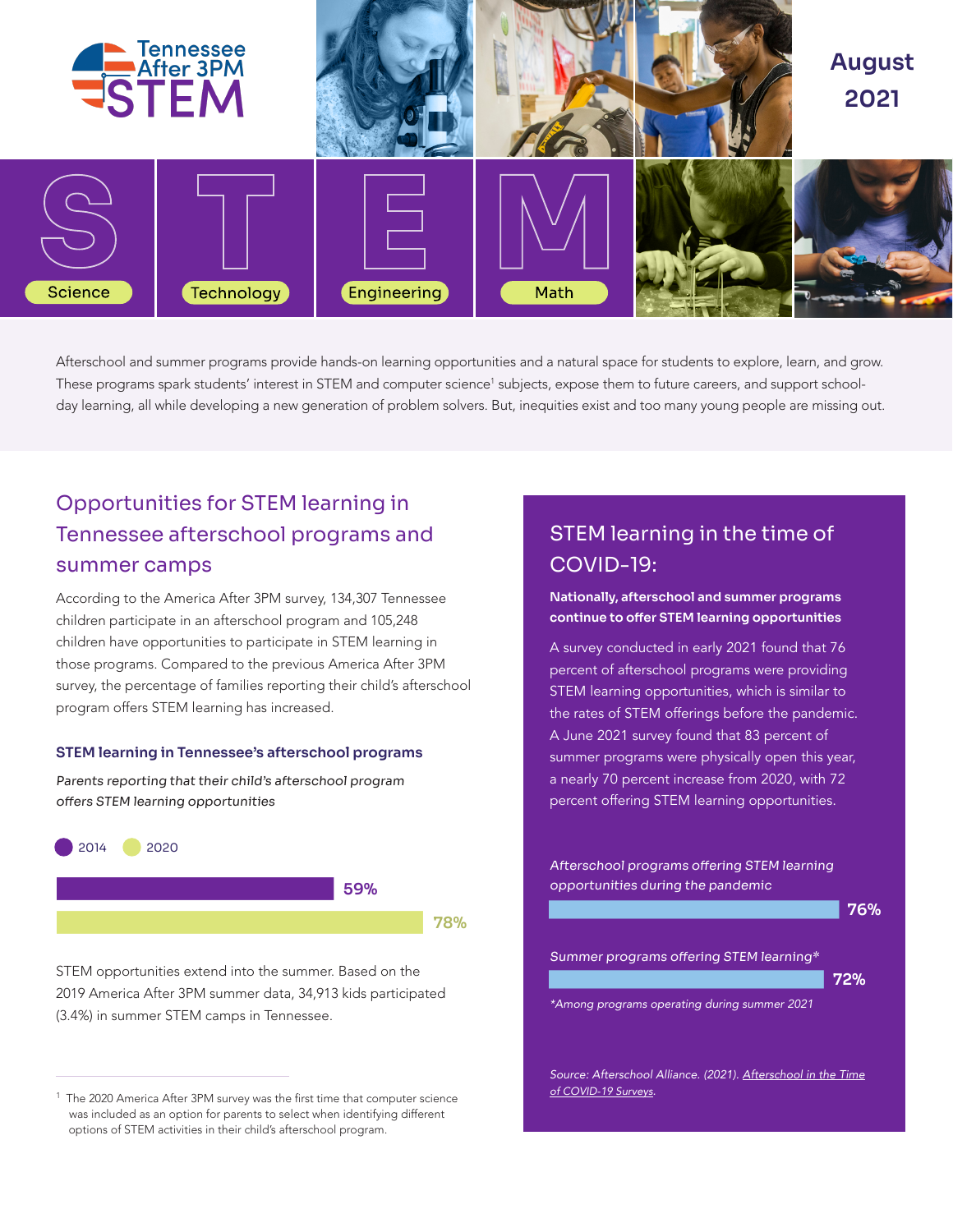

Afterschool and summer programs provide hands-on learning opportunities and a natural space for students to explore, learn, and grow. These programs spark students' interest in STEM and computer science<sup>1</sup> subjects, expose them to future careers, and support schoolday learning, all while developing a new generation of problem solvers. But, inequities exist and too many young people are missing out.

# Opportunities for STEM learning in Tennessee afterschool programs and summer camps

According to the America After 3PM survey, 134,307 Tennessee children participate in an afterschool program and 105,248 children have opportunities to participate in STEM learning in those programs. Compared to the previous America After 3PM survey, the percentage of families reporting their child's afterschool program offers STEM learning has increased.

#### STEM learning in Tennessee's afterschool programs

Parents reporting that their child's afterschool program offers STEM learning opportunities



STEM opportunities extend into the summer. Based on the 2019 America After 3PM summer data, 34,913 kids participated

## STEM learning in the time of COVID-19:

#### Nationally, afterschool and summer programs continue to offer STEM learning opportunities

A survey conducted in early 2021 found that 76 percent of afterschool programs were providing STEM learning opportunities, which is similar to the rates of STEM offerings before the pandemic. A June 2021 survey found that 83 percent of summer programs were physically open this year, a nearly 70 percent increase from 2020, with 72 percent offering STEM learning opportunities.

Afterschool programs offering STEM learning opportunities during the pandemic



*Source: Afterschool Alliance. (2021). [Afterschool in the Time](http://www.afterschoolalliance.org/Afterschool-in-the-Time-of-COVID-19-Surveys.cfm) [of COVID-19 Surveys.](http://www.afterschoolalliance.org/Afterschool-in-the-Time-of-COVID-19-Surveys.cfm)*

 $1$  The 2020 America After 3PM survey was the first time that computer science was included as an option for parents to select when identifying different options of STEM activities in their child's afterschool program.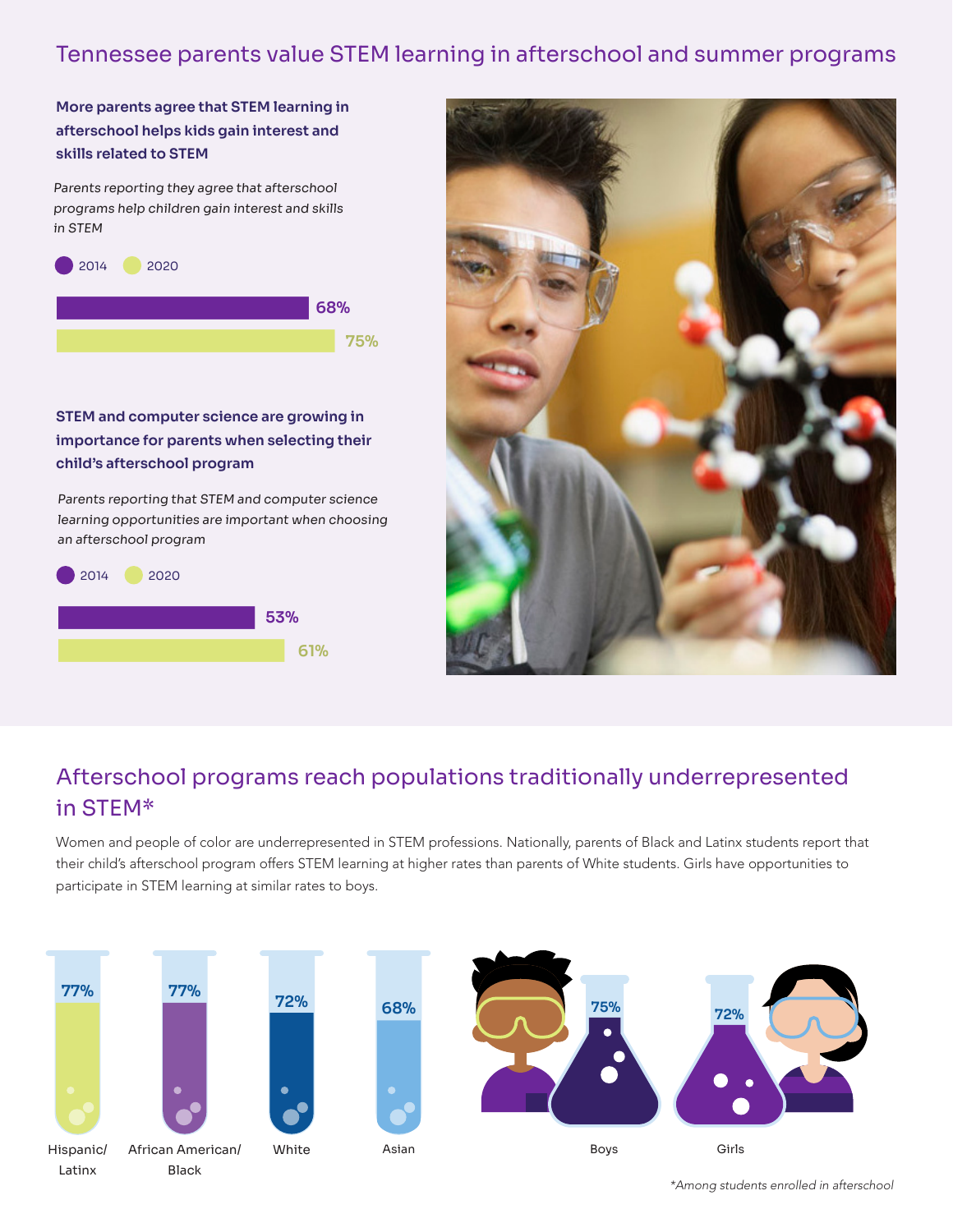## Tennessee parents value STEM learning in afterschool and summer programs

More parents agree that STEM learning in afterschool helps kids gain interest and skills related to STEM

Parents reporting they agree that afterschool programs help children gain interest and skills in STEM



### STEM and computer science are growing in importance for parents when selecting their child's afterschool program

Parents reporting that STEM and computer science learning opportunities are important when choosing





# Afterschool programs reach populations traditionally underrepresented in STEM\*

Women and people of color are underrepresented in STEM professions. Nationally, parents of Black and Latinx students report that their child's afterschool program offers STEM learning at higher rates than parents of White students. Girls have opportunities to participate in STEM learning at similar rates to boys.



*\*Among students enrolled in afterschool*